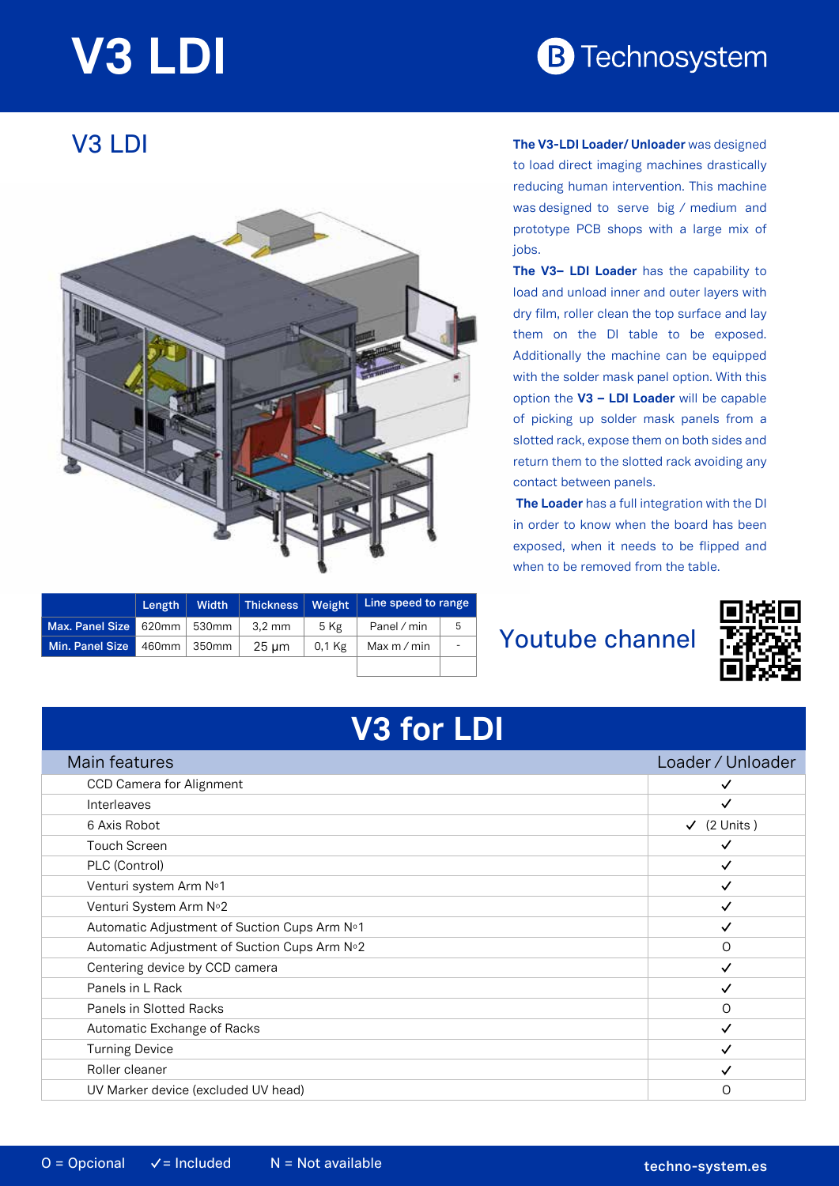# **V3 LDI**

# **B** Technosystem

## V3 LDI



|                               | Length | Width                  | Thickness   Weight |          | Line speed to range |    |
|-------------------------------|--------|------------------------|--------------------|----------|---------------------|----|
| Max. Panel Size 620mm   530mm |        |                        | 3.2 mm             | 5 Kg     | Panel / min         | -5 |
| Min. Panel Size               |        | $460$ mm $\vert$ 350mm | $25 \mu m$         | $0.1$ Kg | Max $m/m$ in        |    |
|                               |        |                        |                    |          |                     |    |

#### **The V3-LDI Loader/ Unloader** was designed to load direct imaging machines drastically reducing human intervention. This machine was designed to serve big / medium and prototype PCB shops with a large mix of jobs.

The V3- LDI Loader has the capability to load and unload inner and outer layers with dry film, roller clean the top surface and lay them on the DI table to be exposed. Additionally the machine can be equipped with the solder mask panel option. With this option the **V3 – LDI Loader** will be capable of picking up solder mask panels from a slotted rack, expose them on both sides and return them to the slotted rack avoiding any contact between panels.

**The Loader** has a full integration with the DI in order to know when the board has been exposed, when it needs to be flipped and when to be removed from the table.

### **Youtube channel**



| <b>V3 for LDI</b>                            |                        |  |  |  |
|----------------------------------------------|------------------------|--|--|--|
| Main features                                | Loader / Unloader      |  |  |  |
| <b>CCD Camera for Alignment</b>              | ✓                      |  |  |  |
| Interleaves                                  | ✓                      |  |  |  |
| 6 Axis Robot                                 | $\checkmark$ (2 Units) |  |  |  |
| <b>Touch Screen</b>                          | ✓                      |  |  |  |
| PLC (Control)                                | $\checkmark$           |  |  |  |
| Venturi system Arm Nº1                       | $\checkmark$           |  |  |  |
| Venturi System Arm No2                       | $\checkmark$           |  |  |  |
| Automatic Adjustment of Suction Cups Arm N°1 | $\checkmark$           |  |  |  |
| Automatic Adjustment of Suction Cups Arm Nº2 | 0                      |  |  |  |
| Centering device by CCD camera               | $\checkmark$           |  |  |  |
| Panels in L Rack                             | $\checkmark$           |  |  |  |
| Panels in Slotted Racks                      | 0                      |  |  |  |
| Automatic Exchange of Racks                  | $\checkmark$           |  |  |  |
| <b>Turning Device</b>                        | $\checkmark$           |  |  |  |
| Roller cleaner                               | ✓                      |  |  |  |
| UV Marker device (excluded UV head)          | O                      |  |  |  |